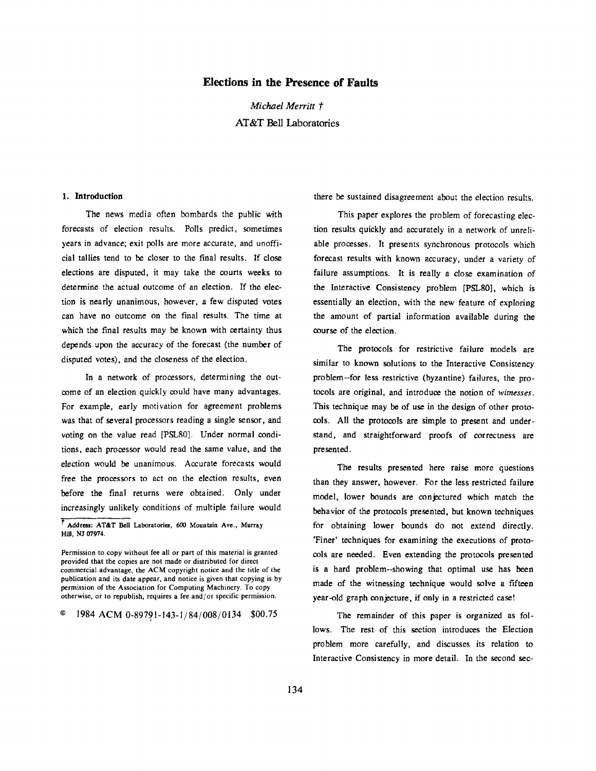# **Elections in the Presence of Faults**

*Michael Merritt*  AT&T Bell Laboratories

### 1. Introduction

The news media often bombards the public with forecasts of election results. Polls predict, sometimes years in advance; exit polls are more accurate, and unofficial tallies tend to be closer to the final results. If close elections are disputed, it may take the courts weeks to determine the actual outcome of an election. If the election is nearly unanimous, however, a few disputed votes can have no outcome on the final results. The time at which the final results may be known with certainty thus depends upon the accuracy of the forecast (the number of disputed votes), and the closeness of the election.

In a network of processors, determining the outcome of an election quickly could have many advantages. For example, early motivation for agreement problems was that of several processors reading a single sensor, and voting on the value read [PSL80]. Under normal conditions, each processor would read the same value, and the election would be unanimous. Accurate forecasts would free the processors to act on the election results, even before the final returns were obtained. Only under increasingly unlikely conditions of multiple failure would

 $\degree$  1984 ACM 0-89791-143-1/84/008/0134 \$00.75

there be sustained disagreement about the election results.

This paper explores the problem of forecasting election results quickly and accurately in a network of unreliable processes. It presents synchronous protocols which forecast results with known accuracy, under a variety of failure assumptions. It is really a close examination of the Interactive Consistency problem [PSLS0], which is essentially an election, with the new feature of exploring the amount of partial information available during the course of the election.

The protocols for restrictive failure models are similar to known solutions to the Interactive Consistency problem--for less restrictive (byzantine) failures, the protocols are original, and introduce the notion of *witnesses.*  This technique may be of use in the design of other protocols. All the protocols are simple to present and understand, and straightforward proofs of correctness are presented.

The results presented here raise more questions than they answer, however. For the less restricted failure model, lower bounds are conjectured which match the behavior of the protocols presented, but known techniques for obtaining lower bounds do not extend directly. 'Finer' techniques for examining the executions of protocols are needed. Even extending the protocols presented is a hard problem--showing that optimal use has been made of the witnessing technique would solve a fifteen year-old graph conjecture, if only in a restricted case!

The remainder of this paper is organized as follows. The rest of this section introduces the Election problem more carefully, and discusses its relation to Interactive Consistency in more detail. In the second sec-

**<sup>~</sup>Address:** AT&T Bell Laboratories, 600 Mountain Ave., Murray Hill, NJ 07974.

Permission to copy without fee all or part of this material is granted provided that the copies are not made or distributed for direct commercial advantage, the *ACM* copyright notice and the title of the publication and its date appear, and notice is given that copying is by permission of the Association for Computing Machinery. To copy otherwise, or to republish, requires a fee and/or specific permission.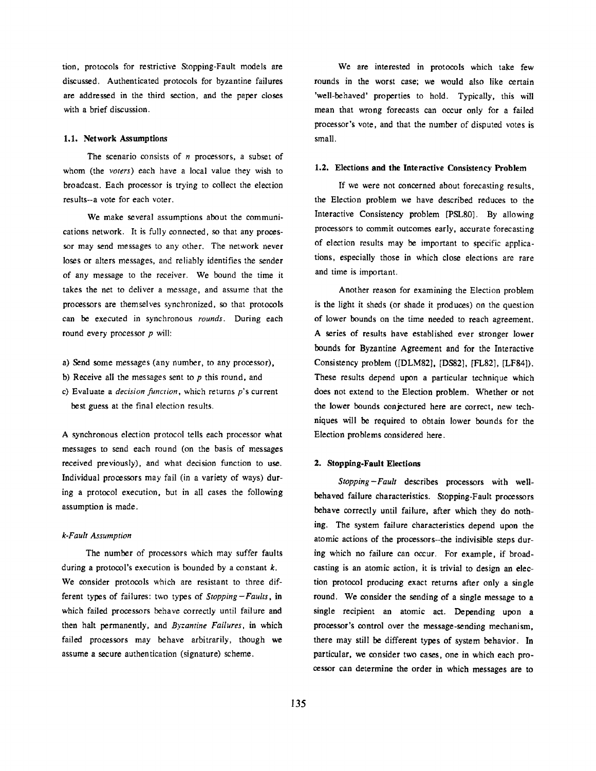tion, protocols for restrictive Stopping-Fault models are discussed. Authenticated protocols for byzantine failures are addressed in the third section, and the paper closes with a brief discussion.

# **1.1. Network** Assumptions

The scenario consists of  $n$  processors, a subset of whom (the *voters)* each have a local value they wish to broadcast. Each processor is trying to collect the election results--a vote for each voter.

We make several assumptions about the communications network. It is fully connected, so that any processor may send messages to any other. The network never loses or alters messages, and reliably identifies the sender of any message to the receiver. We bound the time it takes the net to deliver a message, and assume that the processors are themselves synchronized, so that protocols can be executed in synchronous *rounds.* During each round every processor p will:

a) Send some messages (any number, to any processor),

- b) Receive all the messages sent to  $p$  this round, and
- c) Evaluate a *decision function,* which returns p's current best guess at the final election results.

A synchronous election protocol tells each processor what messages to send each round (on the basis of messages received previously), and what decision function to use. Individual processors may fail (in a variety of ways) during a protocol execution, but in all cases the following assumption is made.

# *k-Fault Assumption*

The number of processors which may suffer faults during a protocol's execution is bounded by a constant  $k$ . We consider protocols which are resistant to three different types of failures: two types of *Stopping-Faults,* in which failed processors behave correctly until failure and then halt permanently, and *Byzantine Failures,* in which failed processors may behave arbitrarily, though we assume a secure authentication (signature) scheme.

We are interested in protocols which take few rounds in the worst case; we would also like certain 'well-behaved' properties to hold. Typically, this will mean that wrong forecasts can occur only for a failed processor's vote, and that the number of disputed votes is small.

# 1.2. **Elections and the Interactive** Consistency Problem

If we were not concerned about forecasting results, the Election problem we have described reduces to the Interactive Consistency problem [PSL80]. By allowing processors to commit outcomes early, accurate forecasting of election results may be important to specific applications, especially those in which close elections are rare and time is important.

Another reason for examining the Election problem is the light it sheds (or shade it produces) on the question of lower bounds on the time needed to reach agreement. A series of results have established ever stronger lower bounds for Byzantine Agreement and for the Interactive Consistency problem ([DLM82], [DS82], [FL82], [LF84]). These results depend upon a particular technique which does not extend to the Election problem. Whether or not the lower bounds conjectured here are correct, new techniques will be required to obtain lower bounds for the Election problems considered here.

#### 2. Stopping-Fault **Elections**

*Stopping-Fault* describes processors with wellbehaved failure characteristics. Stopping-Fault processors behave correctly until failure, after which they do nothing. The system failure characteristics depend upon the atomic actions of the processors--the indivisible steps during which no failure can occur. For example, if broadcasting is an atomic action, it is trivial to design an election protocol producing exact returns after only a single round. We consider the sending of a single message to a single recipient an atomic act. Depending upon a processor's control over the message-sending mechanism, there may still be different types of system behavior. In particular, we consider two cases, one in which each processor can determine the order in which messages are to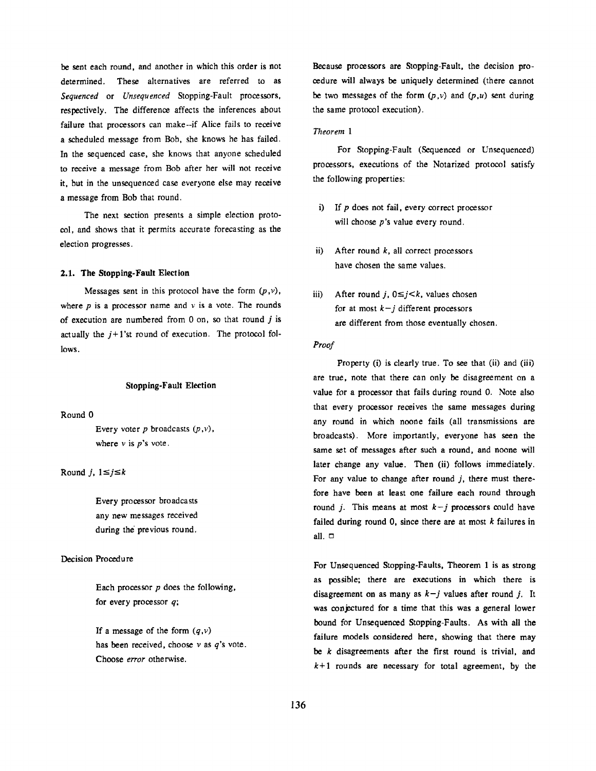be sent each round, and another in which this order is not determined. These alternatives are referred to as *Sequenced* or *Unsequenced* Stopping-Fault processors, respectively. The difference affects the inferences about failure that processors can make--if Alice fails to receive a scheduled message from Bob, she knows he has failed. In the sequenced case, she knows that anyone scheduled to receive a message from Bob after her will not receive it, but in the unsequenced case everyone else may receive a message from Bob that round.

The next section presents a simple election protocol, and shows that it permits accurate forecasting as the election progresses.

### 2.1. The Stopping-Fault Election

Messages sent in this protocol have the form  $(p, v)$ , where  $p$  is a processor name and  $v$  is a vote. The rounds of execution are numbered from  $0$  on, so that round  $j$  is actually the  $j+1$ 'st round of execution. The protocol follows.

#### **Stopping-Fault Election**

Round 0

Every voter  $p$  broadcasts  $(p, v)$ , where  $v$  is  $p$ 's vote.

Round *j*,  $1 \leq j \leq k$ 

Every processor broadcasts any new messages received during the previous round.

# Decision Procedure

Each processor  $p$  does the following, for every processor  $q$ ;

If a message of the form  $(q, v)$ has been received, choose  $\nu$  as  $q$ 's vote. Choose *error* otherwise.

Because processors are Stopping-Fault, the decision proeedure will always be uniquely determined (there cannot be two messages of the form  $(p, v)$  and  $(p, u)$  sent during the same protocol execution).

# *Theorem 1*

For Stopping-Fault (Sequenced or Unsequenced) processors, executions of the Notarized protocol satisfy the following properties:

- i) If p does not fail, every correct processor will choose *p*'s value every round.
- ii) After round  $k$ , all correct processors have chosen the same values.
- iii) After round j,  $0 \leq j \leq k$ , values chosen for at most  $k-j$  different processors are different from those eventually chosen.

# *Proof*

Property (i) is clearly true. To see that (ii) and (iii) are true, note that there can only be disagreement on a value for a processor that fails during round 0. Note also that every processor receives the same messages during any round in which noone fails (all transmissions are broadcasts). More importantly, everyone has seen the same set of messages after such a round, and noone will later change any value. Then (ii) follows immediately. For any value to change after round  $j$ , there must therefore have been at least one failure each round through round *j*. This means at most  $k-j$  processors could have failed during round 0, since there are at most  $k$  failures in all.  $\Box$ 

For Unsequenced Stopping-Faults, Theorem 1 is as strong as possible; there are executions in which there is disagreement on as many as  $k-j$  values after round j. It was conjectured for a time that this was a general lower bound for Unsequenced Stopping-Faults. As with all the failure models considered here, showing that there may be  $k$  disagreements after the first round is trivial, and  $k+1$  rounds are necessary for total agreement, by the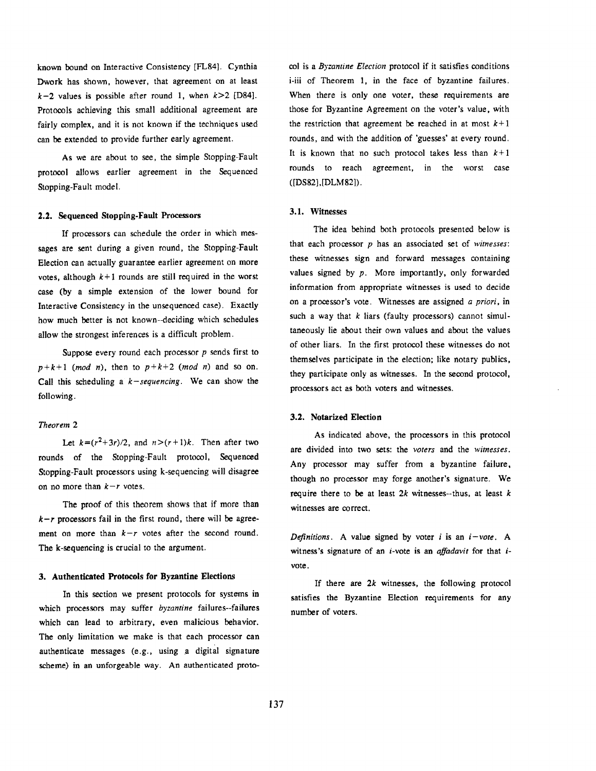known bound on Interactive Consistency [FL84]. Cynthia Dwork has shown, however, that agreement on at least  $k-2$  values is possible after round 1, when  $k>2$  [D84]. Protocols achieving this small additional agreement are fairly complex, and it is not known if the techniques used can be extended to provide further early agreement.

As we are about to see, the simple Stopping-Fault protocol allows earlier agreement in the Sequenced Stopping-Fault model.

#### 2.2. Sequenced Stopping-Fault Processors

If processors can schedule the order in which messages are sent during a given round, the Stopping-Fault Election can actually guarantee earlier agreement on more votes, although  $k+1$  rounds are still required in the worst case (by a simple extension of the lower bound for Interactive Consistency in the unsequenced case). Exactly how much better is not known--deciding which schedules allow the strongest inferences is a difficult problem.

Suppose every round each processor  $p$  sends first to  $p+k+1$  *(mod n)*, then to  $p+k+2$  *(mod n)* and so on. Call this scheduling a *k-sequencing.* We can show the following.

## *Theorem 2*

Let  $k=(r^2+3r)/2$ , and  $n>(r+1)k$ . Then after two rounds of the Stopping-Fault protocol, Sequenced Stopping-Fault processors using k-sequencing will disagree on no more than  $k-r$  votes.

The proof of this theorem shows that if more than  $k-r$  processors fail in the first round, there will be agreement on more than  $k-r$  votes after the second round. The k-sequencing is crucial to the argument.

### **3. Authenticated Protocols for Byzantine Elections**

In this section we present protocols for systems in which processors may suffer *byzantine* failures--failures which can lead to arbitrary, even malicious behavior. The only limitation we make is that each processor can authenticate messages (e.g., using a digital signature scheme) in an unforgeable way. An authenticated protocol is a *Byzantine Election* protocol if it satisfies conditions i-iii of Theorem 1, in the face of byzantine failures. When there is only one voter, these requirements are those for Byzantine Agreement on the voter's value, with the restriction that agreement be reached in at most  $k+1$ rounds, and with the addition of 'guesses' at every round. It is known that no such protocol takes less than  $k+1$ rounds to reach agreement, in the worst case ([DS82],[DLM82]).

# **3.1. Witnesses**

The idea behind both protocols presented below is that each processor p has an associated set of *wimesses:*  these witnesses sign and forward messages containing values signed by  $p$ . More importantly, only forwarded information from appropriate witnesses is used to decide on a processor's vote. Witnesses are assigned *a priori,* in such a way that  $k$  liars (faulty processors) cannot simultaneously lie about their own values and about the values of other liars. In the first protocol these witnesses do not themselves participate in the election; like notary publics, they participate only as witnesses. In the second protocol, processors act as both voters and witnesses.

# **3.2. Notarized Election**

As indicated above, the processors in this protocol are divided into two sets: the *voters* and the *wimesses.*  Any processor may suffer from a byzantine failure, though no processor may forge another's signature. We require there to be at least  $2k$  witnesses--thus, at least  $k$ witnesses are correct.

*Definitions.* A value signed by voter i is an *i-vote. A*  witness's signature of an *i*-vote is an *affadavit* for that *i*vote.

If there are  $2k$  witnesses, the following protocol satisfies the Byzantine Election requirements for **any**  number of voters.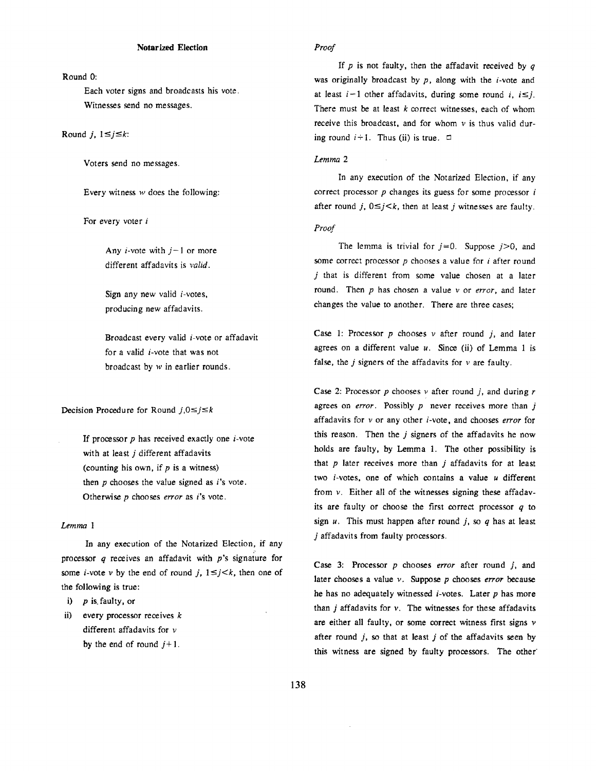# Round 0:

Each voter signs and broadcasts his vote. Witnesses send no messages.

Round *j*,  $1 \leq j \leq k$ :

Voters send no messages.

Every witness  $w$  does the following:

For every voter i

Any *i*-vote with  $j-1$  or more different affadavits is *valid.* 

Sign any new valid  $i$ -votes, producing new affadavits.

Broadcast every valid *i*-vote or affadavit for a valid  $i$ -vote that was not broadcast by w in earlier rounds.

Decision Procedure for Round  $j,0 \leq j \leq k$ 

If processor  $p$  has received exactly one  $i$ -vote with at least j different affadavits (counting his own, if  $p$  is a witness) then  $p$  chooses the value signed as  $i$ 's vote. Otherwise p chooses *error* as i's vote.

# *Lemma 1*

In any execution of the Notarized Election, if any processor  $q$  receives an affadavit with  $p$ 's signature for some *i*-vote *v* by the end of round *j*,  $1 \le j \le k$ , then one of the following is true:

i)  $p$  is faulty, or

ii) every processor receives  $k$ different affadavits for  $\nu$ by the end of round  $j+1$ .

# *Proof*

If  $p$  is not faulty, then the affadavit received by  $q$ was originally broadcast by  $p$ , along with the *i*-vote and at least  $i-1$  other affadavits, during some round *i,*  $i \leq j$ *.* There must be at least  $k$  correct witnesses, each of whom receive this broadcast, and for whom  $v$  is thus valid during round  $i+1$ . Thus (ii) is true.  $\Box$ 

### *Lemma 2*

In any execution of the Notarized Election, if any correct processor  $p$  changes its guess for some processor  $i$ after round *j*,  $0 \leq j \leq k$ , then at least *j* witnesses are faulty.

# *Proof*

The lemma is trivial for  $j=0$ . Suppose  $j>0$ , and some correct processor  $p$  chooses a value for  $i$  after round  $j$  that is different from some value chosen at a later round. Then p has chosen a value v or *error,* and later changes the value to another. There are three cases;

Case 1: Processor  $p$  chooses  $v$  after round  $i$ , and later agrees on a different value  $u$ . Since (ii) of Lemma 1 is false, the  $j$  signers of the affadavits for  $v$  are faulty.

Case 2: Processor  $p$  chooses  $\nu$  after round  $j$ , and during  $r$ agrees on *error*. Possibly p never receives more than j affadavits for v or any other *i*-vote, and chooses *error* for this reason. Then the  $j$  signers of the affadavits he now holds are faulty, by Lemma 1. The other possibility is that  $p$  later receives more than  $j$  affadavits for at least two  $i$ -votes, one of which contains a value  $u$  different from  $v$ . Either all of the witnesses signing these affadavits are faulty or choose the first correct processor  $q$  to sign  $u$ . This must happen after round  $j$ , so  $q$  has at least j affadavits from faulty processors.

Case 3: Processor p chooses *error* after round j, and later chooses a value v. Suppose p chooses *error* because he has no adequately witnessed  $i$ -votes. Later  $p$  has more than  $j$  affadavits for  $v$ . The witnesses for these affadavits are either all faulty, or some correct witness first signs v after round  $j$ , so that at least  $j$  of the affadavits seen by this witness are signed by faulty processors. The other'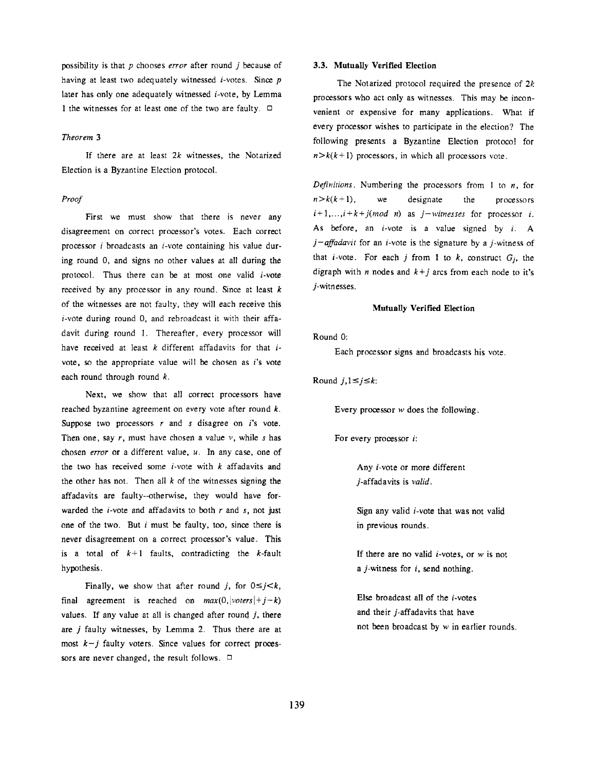possibility is that p chooses *error* after round j because of having at least two adequately witnessed  $i$ -votes. Since  $p$ later has only one adequately witnessed  $i$ -vote, by Lemma 1 the witnesses for at least one of the two are faulty.  $\Box$ 

#### *Theorem 3*

If there are at least  $2k$  witnesses, the Notarized Election is a Byzantine Election protocol.

# *Proof*

First we must show that there is never any disagreement on correct processor's votes. Each correct processor  $i$  broadcasts an  $i$ -vote containing his value during round 0, and signs no other values at all during the protocol. Thus there can be at most one valid  $i$ -vote received by any processor in any round. Since at least  $k$ of the witnesses are not faulty, they will each receive this  $i$ -vote during round 0, and rebroadcast it with their affadavit during round 1. Thereafter, every processor will have received at least  $k$  different affadavits for that  $i$ vote, so the appropriate value will be chosen as i's vote each round through round  $k$ .

Next, we show that all correct processors have reached byzantine agreement on every vote after round  $k$ . Suppose two processors  $r$  and  $s$  disagree on  $i$ 's vote. Then one, say  $r$ , must have chosen a value  $v$ , while  $s$  has chosen *error* or a different value, u. In any case, one of the two has received some  $i$ -vote with  $k$  affadavits and the other has not. Then all  $k$  of the witnesses signing the affadavits are faulty--otherwise, they would have forwarded the  $i$ -vote and affadavits to both  $r$  and  $s$ , not just one of the two. But  $i$  must be faulty, too, since there is never disagreement on a correct processor's value. This is a total of  $k+1$  faults, contradicting the k-fault hypothesis.

Finally, we show that after round *j*, for  $0 \leq j \leq k$ , final agreement is reached on  $max(0,|voters|+j-k)$ values. If any value at all is changed after round  $j$ , there are j faulty witnesses, by Lemma 2. Thus there are at most  $k-j$  faulty voters. Since values for correct processors are never changed, the result follows.  $\Box$ 

# **3.3. Mutually Verified Election**

The Notarized protocol required the presence of  $2k$ processors who act only as witnesses. This may be inconvenient or expensive for many applications. What if every processor wishes to participate in the election? The following presents a Byzantine Election protocol for  $n$   $\ge$   $k(k+1)$  processors, in which all processors vote.

*Definitions.* Numbering the processors from 1 to n, for  $n > k(k+1)$ , we designate the processors  $i+1,...,i+k+j(mod n)$  as  $j-witnesses$  for processor *i*. As before, an  $i$ -vote is a value signed by  $i$ . A  $j$ -affadavit for an *i*-vote is the signature by a *j*-witness of that *i*-vote. For each *j* from 1 to  $k$ , construct  $G_i$ , the digraph with *n* nodes and  $k+j$  arcs from each node to it's j-witn esses.

#### **Mutually Verified Election**

Round 0:

Each processor signs and broadcasts his vote.

Round  $j, 1 \leq j \leq k$ :

Every processor  $w$  does the following.

For every processor i:

Any *i*-vote or more different j-affadavits is *valid.* 

Sign any valid  $i$ -vote that was not valid in previous rounds.

If there are no valid  $i$ -votes, or  $w$  is not a  $j$ -witness for  $i$ , send nothing.

Else broadcast all of the  $i$ -votes and their j-affadavits that have not been broadcast by  $w$  in earlier rounds.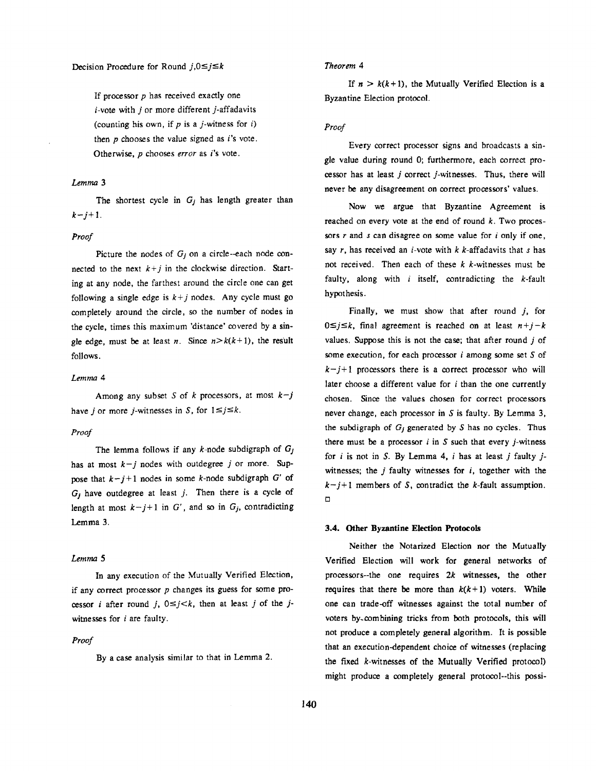If processor  $p$  has received exactly one  $i$ -vote with  $j$  or more different  $j$ -affadavits (counting his own, if  $p$  is a *j*-witness for  $i$ ) then  $p$  chooses the value signed as  $i$ 's vote. Otherwise, p chooses *error* as i's vote.

### *Lemma 3*

The shortest cycle in  $G_i$  has length greater than  $k - j + 1$ .

#### *Proof*

Picture the nodes of  $G_i$  on a circle--each node connected to the next  $k+j$  in the clockwise direction. Starting at any node, the farthest around the circle one can get following a single edge is  $k+j$  nodes. Any cycle must go completely around the circle, so the number of nodes in the cycle, times this maximum 'distance' covered by a single edge, must be at least *n*. Since  $n > k(k+1)$ , the result follows.

### *Lemma 4*

Among any subset S of k processors, at most  $k-j$ have *i* or more *j*-witnesses in *S*, for  $1 \le j \le k$ .

### *Proof*

The lemma follows if any k-node subdigraph of *Gj*  has at most  $k-j$  nodes with outdegree j or more. Suppose that  $k - j + 1$  nodes in some k-node subdigraph G' of  $G_j$  have outdegree at least j. Then there is a cycle of length at most  $k-j+1$  in G', and so in  $G_j$ , contradicting Lemma 3.

# Lemma 5

In any execution of the Mutually Verified Election, if any correct processor  $p$  changes its guess for some processor *i* after round *j*,  $0 \le j \le k$ , then at least *j* of the *j*witnesses for i are faulty.

#### *Proof*

By a case analysis similar to that in Lemma 2.

# *Theorem 4*

If  $n > k(k+1)$ , the Mutually Verified Election is a Byzantine Election protocol.

# *Proof*

Every correct processor signs and broadcasts a single value during round 0; furthermore, each correct processor has at least j correct j-witnesses. Thus, there will never be any disagreement on correct processors' values.

Now we argue that Byzantine Agreement is reached on every vote at the end of round  $k$ . Two processors  $r$  and  $s$  can disagree on some value for  $i$  only if one, say r, has received an *i*-vote with  $k$  *k*-affadavits that s has not received. Then each of these  $k$  k-witnesses must be faulty, along with  $i$  itself, contradicting the  $k$ -fault hypothesis.

Finally, we must show that after round  $j$ , for  $0 \leq j \leq k$ , final agreement is reached on at least  $n+j-k$ values. Suppose this is not the case; that after round  $j$  of some execution, for each processor  $i$  among some set  $S$  of  $k-j+1$  processors there is a correct processor who will later choose a different value for  $i$  than the one currently chosen. Since the values chosen for correct processors never change, each processor in S is faulty. By Lemma 3, the subdigraph of  $G_i$  generated by S has no cycles. Thus there must be a processor  $i$  in  $S$  such that every  $j$ -witness for i is not in S. By Lemma 4, i has at least j faulty  $j$ witnesses; the  $j$  faulty witnesses for  $i$ , together with the  $k-j+1$  members of S, contradict the k-fault assumption.  $\Box$ 

#### **3.4. Other Byzantine Election Protocols**

Neither the Notarized Election nor the Mutually Verified Election will work for general networks of processors--the one requires 2k witnesses, the other requires that there be more than  $k(k+1)$  voters. While one can trade-off witnesses against the total number of voters by-combining tricks from both protocols, this will not produce a completely general algorithm. It is possible that an execution-dependent choice of witnesses (replacing the fixed k-witnesses of the Mutually Verified protocol) might produce a completely general protocol--this possi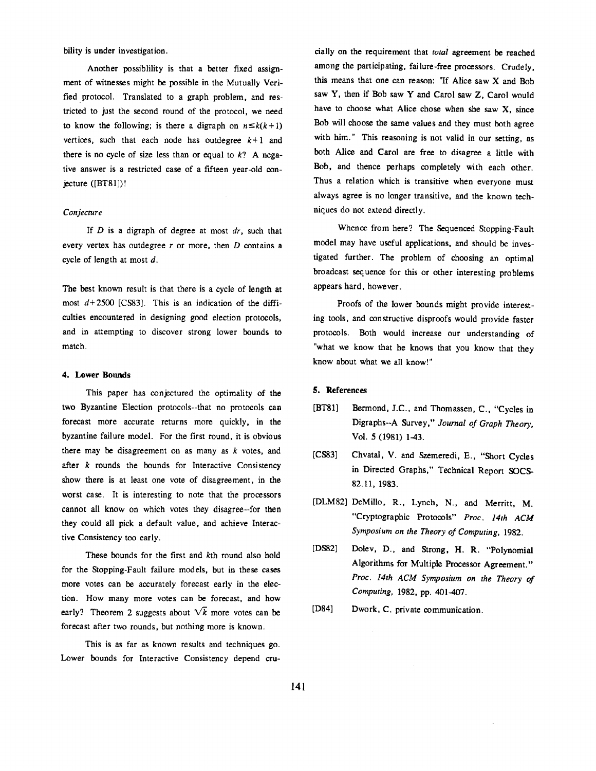bility is under investigation.

Another possiblility is that a better fixed assignment of witnesses might be possible in the Mutually Verified protocol. Translated to a graph problem, and restricted to just the second round of the protocol, we need to know the following; is there a digraph on  $n \leq k(k+1)$ vertices, such that each node has outdegree  $k+1$  and there is no cycle of size less than or equal to  $k$ ? A negative answer is a restricted case of a fifteen year-old conjecture  $([BT81])$ !

# *Conjecture*

If D is a digraph of degree at most *dr,* such that every vertex has outdegree  $r$  or more, then  $D$  contains a cycle of length at most d.

The best known result is that there is a cycle of length **at**  most  $d+2500$  [CS83]. This is an indication of the difficulties encountered in designing good election protocols, and in attempting to discover strong lower bounds to match.

### **4. Lower Bounds**

This paper has conjectured the optimality of **the**  two Byzantine Election protocols--that no protocols can forecast more accurate returns more quickly, in the byzantine failure model. For the first round, it is obvious there may be disagreement on as many as  $k$  votes, and after  $k$  rounds the bounds for Interactive Consistency show there is at least one vote of disagreement, in the worst case. It is interesting to note that the processors cannot all know on which votes they disagree--for then they could all pick a default value, and achieve Interactive Consistency too early.

These bounds for the first and kth round also hold for the Stopping-Fault failure models, but in these cases more votes can be accurately forecast early in the election. How many more votes can be forecast, and how early? Theorem 2 suggests about  $\sqrt{k}$  more votes can be forecast after two rounds, but nothing more is known.

This is as far as known results and techniques go. Lower bounds for Interactive Consistency depend cru-

cially on the requirement that *total* agreement be reached among the participating, failure-free processors. Crudely, this means that one can reason: "If Alice saw X and Bob saw Y, then if Bob saw Y and Carol saw Z, Carol would have to choose what Alice chose when she saw X, since Bob will choose the same values and they must both agree with him." This reasoning is not valid in our setting, **as**  both Alice and Carol are free to disagree a little with Bob, and thence perhaps completely with each other. Thus a relation which is transitive when everyone must always agree is no longer transitive, and the known techniques do not extend directly.

Whence from here? The Sequenced Stopping-Fault model may have useful applications, and should be investigated further. The problem of choosing an optimal broadcast sequence for this or other interesting problems appears hard, however.

Proofs of the lower bounds might provide interesting tools, and constructive disproofs would provide faster protocols. Both would increase our understanding of "what we know that he knows that you know that they know about what we all know!"

# 5. **References**

- [BT81] Bermond, J.C., and Thomassen, C., "Cycles in Digraphs--A Survey," *Journal of Graph Theory,*  Vol. 5 (1981) 1-43.
- [CS83] Chvatal, V. and Szemeredi, E., "Short Cycles in Directed Graphs," Technical Report SOCS-82.11, 1983.
- [DLM82] DeMillo, R., Lynch, N., and Merritt, M. "Cryptographic Protocols" *Proc. 14th ACM Symposium on the Theory of Computing,* 1982.
- [DS82] Dolev, D., and Strong, H. R. "Polynomial Algorithms for Multiple Processor Agreement." *Proc. 14th ACM Symposium on the Theory of Computing,* 1982, pp. 401-407.
- [D84] Dwork, C. private communication.